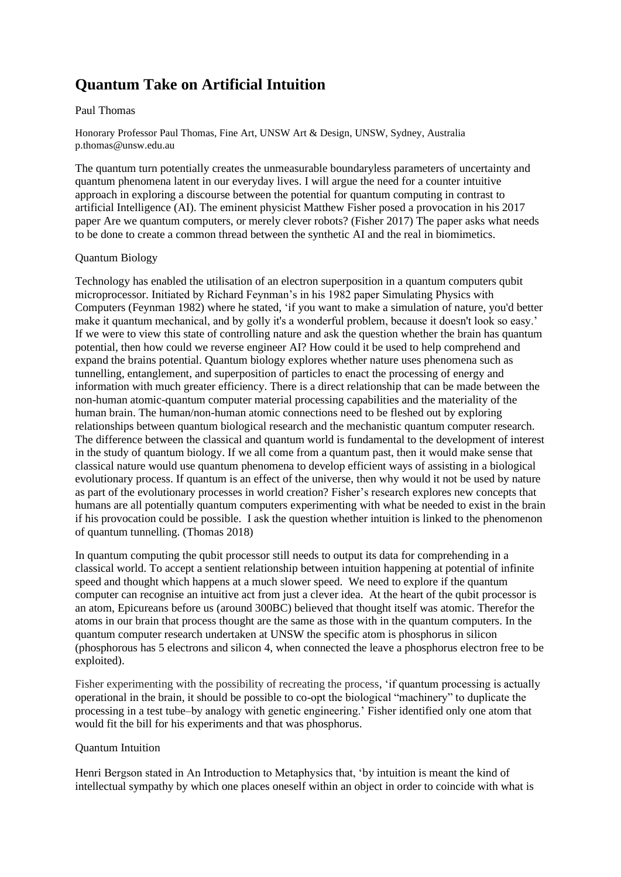## **Quantum Take on Artificial Intuition**

## Paul Thomas

Honorary Professor Paul Thomas, Fine Art, UNSW Art & Design, UNSW, Sydney, Australia p.thomas@unsw.edu.au

The quantum turn potentially creates the unmeasurable boundaryless parameters of uncertainty and quantum phenomena latent in our everyday lives. I will argue the need for a counter intuitive approach in exploring a discourse between the potential for quantum computing in contrast to artificial Intelligence (AI). The eminent physicist Matthew Fisher posed a provocation in his 2017 paper Are we quantum computers, or merely clever robots? (Fisher 2017) The paper asks what needs to be done to create a common thread between the synthetic AI and the real in biomimetics.

## Quantum Biology

Technology has enabled the utilisation of an electron superposition in a quantum computers qubit microprocessor. Initiated by Richard Feynman's in his 1982 paper Simulating Physics with Computers (Feynman 1982) where he stated, 'if you want to make a simulation of nature, you'd better make it quantum mechanical, and by golly it's a wonderful problem, because it doesn't look so easy.' If we were to view this state of controlling nature and ask the question whether the brain has quantum potential, then how could we reverse engineer AI? How could it be used to help comprehend and expand the brains potential. Quantum biology explores whether nature uses phenomena such as tunnelling, entanglement, and superposition of particles to enact the processing of energy and information with much greater efficiency. There is a direct relationship that can be made between the non-human atomic-quantum computer material processing capabilities and the materiality of the human brain. The human/non-human atomic connections need to be fleshed out by exploring relationships between quantum biological research and the mechanistic quantum computer research. The difference between the classical and quantum world is fundamental to the development of interest in the study of quantum biology. If we all come from a quantum past, then it would make sense that classical nature would use quantum phenomena to develop efficient ways of assisting in a biological evolutionary process. If quantum is an effect of the universe, then why would it not be used by nature as part of the evolutionary processes in world creation? Fisher's research explores new concepts that humans are all potentially quantum computers experimenting with what be needed to exist in the brain if his provocation could be possible. I ask the question whether intuition is linked to the phenomenon of quantum tunnelling. (Thomas 2018)

In quantum computing the qubit processor still needs to output its data for comprehending in a classical world. To accept a sentient relationship between intuition happening at potential of infinite speed and thought which happens at a much slower speed. We need to explore if the quantum computer can recognise an intuitive act from just a clever idea. At the heart of the qubit processor is an atom, Epicureans before us (around 300BC) believed that thought itself was atomic. Therefor the atoms in our brain that process thought are the same as those with in the quantum computers. In the quantum computer research undertaken at UNSW the specific atom is phosphorus in silicon (phosphorous has 5 electrons and silicon 4, when connected the leave a phosphorus electron free to be exploited).

Fisher experimenting with the possibility of recreating the process, 'if quantum processing is actually operational in the brain, it should be possible to co-opt the biological "machinery" to duplicate the processing in a test tube–by analogy with genetic engineering.' Fisher identified only one atom that would fit the bill for his experiments and that was phosphorus.

## Quantum Intuition

Henri Bergson stated in An Introduction to Metaphysics that, 'by intuition is meant the kind of intellectual sympathy by which one places oneself within an object in order to coincide with what is